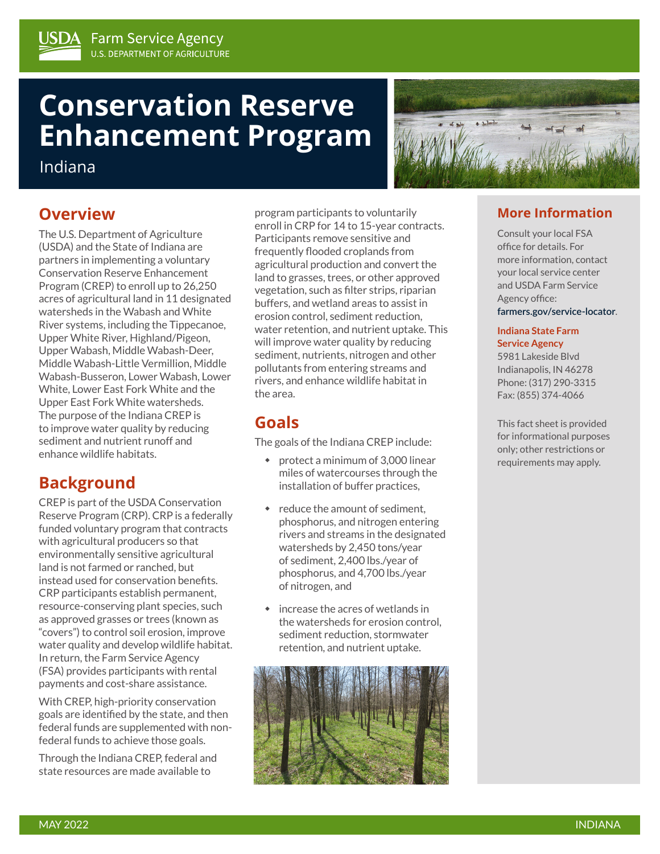# **Conservation Reserve Enhancement Program**

Indiana

## **Overview**

The U.S. Department of Agriculture (USDA) and the State of Indiana are partners in implementing a voluntary Conservation Reserve Enhancement Program (CREP) to enroll up to 26,250 acres of agricultural land in 11 designated watersheds in the Wabash and White River systems, including the Tippecanoe, Upper White River, Highland/Pigeon, Upper Wabash, Middle Wabash-Deer, Middle Wabash-Little Vermillion, Middle Wabash-Busseron, Lower Wabash, Lower White, Lower East Fork White and the Upper East Fork White watersheds. The purpose of the Indiana CREP is to improve water quality by reducing sediment and nutrient runoff and enhance wildlife habitats.

## **Background**

CREP is part of the USDA Conservation Reserve Program (CRP). CRP is a federally funded voluntary program that contracts with agricultural producers so that environmentally sensitive agricultural land is not farmed or ranched, but instead used for conservation benefits. CRP participants establish permanent, resource-conserving plant species, such as approved grasses or trees (known as "covers") to control soil erosion, improve water quality and develop wildlife habitat. In return, the Farm Service Agency (FSA) provides participants with rental payments and cost-share assistance.

With CREP, high-priority conservation goals are identified by the state, and then federal funds are supplemented with nonfederal funds to achieve those goals.

Through the Indiana CREP, federal and state resources are made available to

program participants to voluntarily enroll in CRP for 14 to 15-year contracts. Participants remove sensitive and frequently flooded croplands from agricultural production and convert the land to grasses, trees, or other approved vegetation, such as filter strips, riparian buffers, and wetland areas to assist in erosion control, sediment reduction, water retention, and nutrient uptake. This will improve water quality by reducing sediment, nutrients, nitrogen and other pollutants from entering streams and rivers, and enhance wildlife habitat in the area.

## **Goals**

The goals of the Indiana CREP include:

- protect a minimum of 3,000 linear miles of watercourses through the installation of buffer practices,
- reduce the amount of sediment. phosphorus, and nitrogen entering rivers and streams in the designated watersheds by 2,450 tons/year of sediment, 2,400 lbs./year of phosphorus, and 4,700 lbs./year of nitrogen, and
- increase the acres of wetlands in the watersheds for erosion control, sediment reduction, stormwater retention, and nutrient uptake.



### **More Information**

Consult your local FSA office for details. For more information, contact your local service center and USDA Farm Service Agency office: **[farmers.gov/service-locator](http://farmers.gov/service-locator)**.

#### **Indiana State Farm Service Agency**

5981 Lakeside Blvd Indianapolis, IN 46278 Phone: (317) 290-3315 Fax: (855) 374-4066

This fact sheet is provided for informational purposes only; other restrictions or requirements may apply.